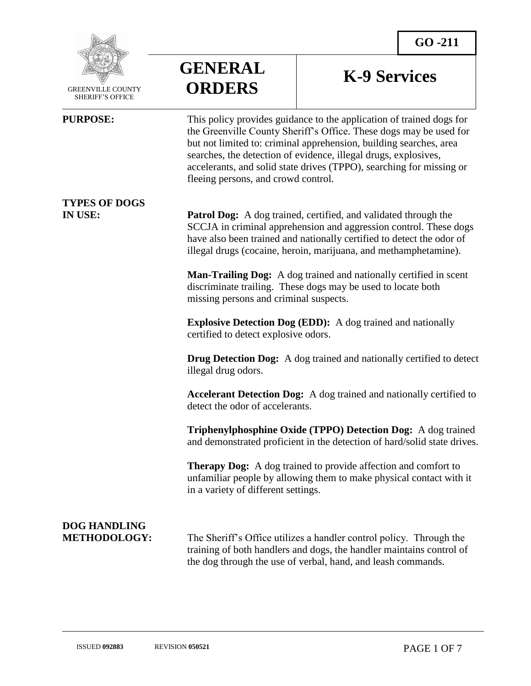

 GREENVILLE COUNTY SHERIFF'S OFFICE

 $\overline{a}$ 

**GENERAL ORDERS**

# **K-9 Services**

**PURPOSE:** This policy provides guidance to the application of trained dogs for the Greenville County Sheriff's Office. These dogs may be used for but not limited to: criminal apprehension, building searches, area searches, the detection of evidence, illegal drugs, explosives, accelerants, and solid state drives (TPPO), searching for missing or fleeing persons, and crowd control. **TYPES OF DOGS IN USE: Patrol Dog:** A dog trained, certified, and validated through the SCCJA in criminal apprehension and aggression control. These dogs have also been trained and nationally certified to detect the odor of illegal drugs (cocaine, heroin, marijuana, and methamphetamine). **Man-Trailing Dog:** A dog trained and nationally certified in scent discriminate trailing. These dogs may be used to locate both missing persons and criminal suspects. **Explosive Detection Dog (EDD):** A dog trained and nationally certified to detect explosive odors. **Drug Detection Dog:** A dog trained and nationally certified to detect illegal drug odors. **Accelerant Detection Dog:** A dog trained and nationally certified to detect the odor of accelerants. **Triphenylphosphine Oxide (TPPO) Detection Dog:** A dog trained and demonstrated proficient in the detection of hard/solid state drives. **Therapy Dog:** A dog trained to provide affection and comfort to unfamiliar people by allowing them to make physical contact with it in a variety of different settings. **DOG HANDLING METHODOLOGY:** The Sheriff's Office utilizes a handler control policy. Through the training of both handlers and dogs, the handler maintains control of

the dog through the use of verbal, hand, and leash commands.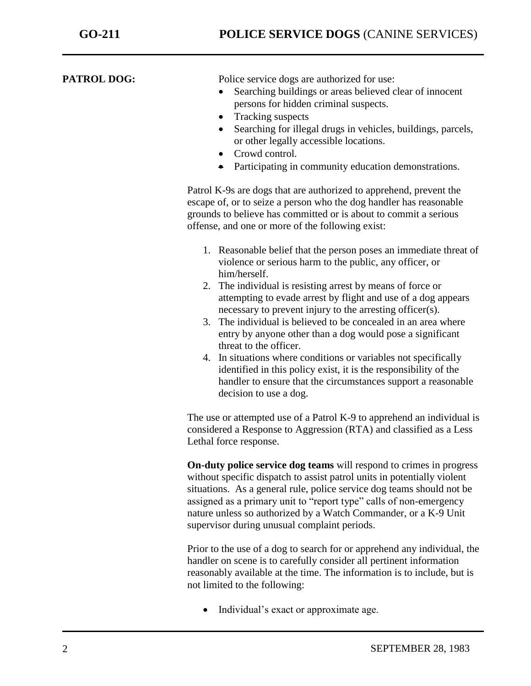**PATROL DOG:** Police service dogs are authorized for use:

- Searching buildings or areas believed clear of innocent persons for hidden criminal suspects.
- Tracking suspects
- Searching for illegal drugs in vehicles, buildings, parcels, or other legally accessible locations.
- Crowd control.
- Participating in community education demonstrations.

Patrol K-9s are dogs that are authorized to apprehend, prevent the escape of, or to seize a person who the dog handler has reasonable grounds to believe has committed or is about to commit a serious offense, and one or more of the following exist:

- 1. Reasonable belief that the person poses an immediate threat of violence or serious harm to the public, any officer, or him/herself.
- 2. The individual is resisting arrest by means of force or attempting to evade arrest by flight and use of a dog appears necessary to prevent injury to the arresting officer(s).
- 3. The individual is believed to be concealed in an area where entry by anyone other than a dog would pose a significant threat to the officer.
- 4. In situations where conditions or variables not specifically identified in this policy exist, it is the responsibility of the handler to ensure that the circumstances support a reasonable decision to use a dog.

The use or attempted use of a Patrol K-9 to apprehend an individual is considered a Response to Aggression (RTA) and classified as a Less Lethal force response.

**On-duty police service dog teams** will respond to crimes in progress without specific dispatch to assist patrol units in potentially violent situations.As a general rule, police service dog teams should not be assigned as a primary unit to "report type" calls of non-emergency nature unless so authorized by a Watch Commander, or a K-9 Unit supervisor during unusual complaint periods.

Prior to the use of a dog to search for or apprehend any individual, the handler on scene is to carefully consider all pertinent information reasonably available at the time. The information is to include, but is not limited to the following:

• Individual's exact or approximate age.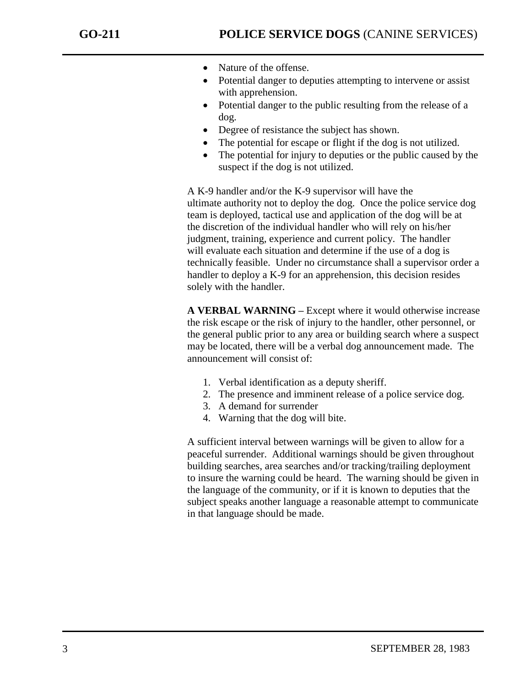- Nature of the offense.
- Potential danger to deputies attempting to intervene or assist with apprehension.
- Potential danger to the public resulting from the release of a dog.
- Degree of resistance the subject has shown.
- The potential for escape or flight if the dog is not utilized.
- The potential for injury to deputies or the public caused by the suspect if the dog is not utilized.

A K-9 handler and/or the K-9 supervisor will have the ultimate authority not to deploy the dog. Once the police service dog team is deployed, tactical use and application of the dog will be at the discretion of the individual handler who will rely on his/her judgment, training, experience and current policy. The handler will evaluate each situation and determine if the use of a dog is technically feasible. Under no circumstance shall a supervisor order a handler to deploy a K-9 for an apprehension, this decision resides solely with the handler.

**A VERBAL WARNING –** Except where it would otherwise increase the risk escape or the risk of injury to the handler, other personnel, or the general public prior to any area or building search where a suspect may be located, there will be a verbal dog announcement made. The announcement will consist of:

- 1. Verbal identification as a deputy sheriff.
- 2. The presence and imminent release of a police service dog.
- 3. A demand for surrender
- 4. Warning that the dog will bite.

A sufficient interval between warnings will be given to allow for a peaceful surrender. Additional warnings should be given throughout building searches, area searches and/or tracking/trailing deployment to insure the warning could be heard. The warning should be given in the language of the community, or if it is known to deputies that the subject speaks another language a reasonable attempt to communicate in that language should be made.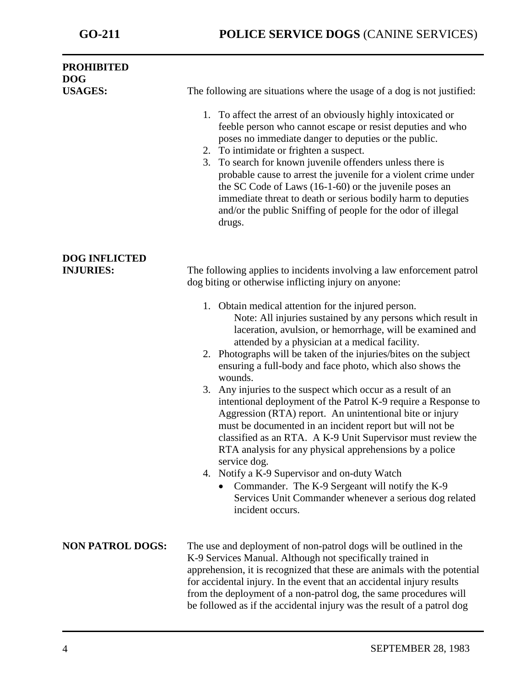| <b>PROHIBITED</b><br><b>DOG</b>          |                                                                                                                                                                                                                                                                                                                                                                                                                                                                                                                                                                                                                                                                                                                                                                                                                                                                                                                                                                                     |
|------------------------------------------|-------------------------------------------------------------------------------------------------------------------------------------------------------------------------------------------------------------------------------------------------------------------------------------------------------------------------------------------------------------------------------------------------------------------------------------------------------------------------------------------------------------------------------------------------------------------------------------------------------------------------------------------------------------------------------------------------------------------------------------------------------------------------------------------------------------------------------------------------------------------------------------------------------------------------------------------------------------------------------------|
| <b>USAGES:</b>                           | The following are situations where the usage of a dog is not justified:                                                                                                                                                                                                                                                                                                                                                                                                                                                                                                                                                                                                                                                                                                                                                                                                                                                                                                             |
|                                          | 1. To affect the arrest of an obviously highly intoxicated or<br>feeble person who cannot escape or resist deputies and who<br>poses no immediate danger to deputies or the public.<br>2. To intimidate or frighten a suspect.<br>To search for known juvenile offenders unless there is<br>3.<br>probable cause to arrest the juvenile for a violent crime under<br>the SC Code of Laws (16-1-60) or the juvenile poses an<br>immediate threat to death or serious bodily harm to deputies<br>and/or the public Sniffing of people for the odor of illegal<br>drugs.                                                                                                                                                                                                                                                                                                                                                                                                               |
| <b>DOG INFLICTED</b><br><b>INJURIES:</b> | The following applies to incidents involving a law enforcement patrol<br>dog biting or otherwise inflicting injury on anyone:                                                                                                                                                                                                                                                                                                                                                                                                                                                                                                                                                                                                                                                                                                                                                                                                                                                       |
|                                          | 1. Obtain medical attention for the injured person.<br>Note: All injuries sustained by any persons which result in<br>laceration, avulsion, or hemorrhage, will be examined and<br>attended by a physician at a medical facility.<br>2. Photographs will be taken of the injuries/bites on the subject<br>ensuring a full-body and face photo, which also shows the<br>wounds.<br>Any injuries to the suspect which occur as a result of an<br>3.<br>intentional deployment of the Patrol K-9 require a Response to<br>Aggression (RTA) report. An unintentional bite or injury<br>must be documented in an incident report but will not be<br>classified as an RTA. A K-9 Unit Supervisor must review the<br>RTA analysis for any physical apprehensions by a police<br>service dog.<br>4. Notify a K-9 Supervisor and on-duty Watch<br>Commander. The K-9 Sergeant will notify the K-9<br>$\bullet$<br>Services Unit Commander whenever a serious dog related<br>incident occurs. |
| <b>NON PATROL DOGS:</b>                  | The use and deployment of non-patrol dogs will be outlined in the<br>K-9 Services Manual. Although not specifically trained in<br>apprehension, it is recognized that these are animals with the potential<br>for accidental injury. In the event that an accidental injury results<br>from the deployment of a non-patrol dog, the same procedures will<br>be followed as if the accidental injury was the result of a patrol dog                                                                                                                                                                                                                                                                                                                                                                                                                                                                                                                                                  |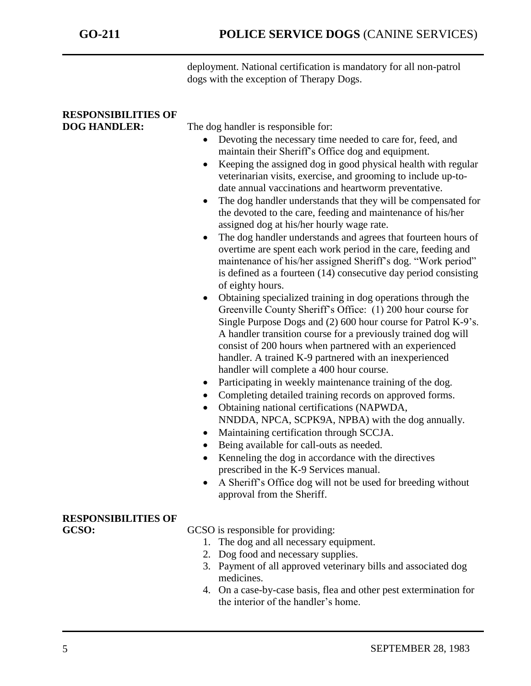deployment. National certification is mandatory for all non-patrol dogs with the exception of Therapy Dogs.

### **RESPONSIBILITIES OF DOG HANDLER:** The dog handler is responsible for: Devoting the necessary time needed to care for, feed, and maintain their Sheriff's Office dog and equipment. • Keeping the assigned dog in good physical health with regular veterinarian visits, exercise, and grooming to include up-todate annual vaccinations and heartworm preventative. • The dog handler understands that they will be compensated for the devoted to the care, feeding and maintenance of his/her assigned dog at his/her hourly wage rate. • The dog handler understands and agrees that fourteen hours of overtime are spent each work period in the care, feeding and maintenance of his/her assigned Sheriff's dog. "Work period" is defined as a fourteen (14) consecutive day period consisting of eighty hours. Obtaining specialized training in dog operations through the Greenville County Sheriff's Office: (1) 200 hour course for Single Purpose Dogs and (2) 600 hour course for Patrol K-9's. A handler transition course for a previously trained dog will consist of 200 hours when partnered with an experienced handler. A trained K-9 partnered with an inexperienced handler will complete a 400 hour course. • Participating in weekly maintenance training of the dog. Completing detailed training records on approved forms. Obtaining national certifications (NAPWDA, NNDDA, NPCA, SCPK9A, NPBA) with the dog annually. Maintaining certification through SCCJA. • Being available for call-outs as needed. Kenneling the dog in accordance with the directives prescribed in the K-9 Services manual. A Sheriff's Office dog will not be used for breeding without approval from the Sheriff. **RESPONSIBILITIES OF** GCSO: GCSO is responsible for providing: 1. The dog and all necessary equipment. 2. Dog food and necessary supplies. 3. Payment of all approved veterinary bills and associated dog medicines. 4. On a case-by-case basis, flea and other pest extermination for the interior of the handler's home.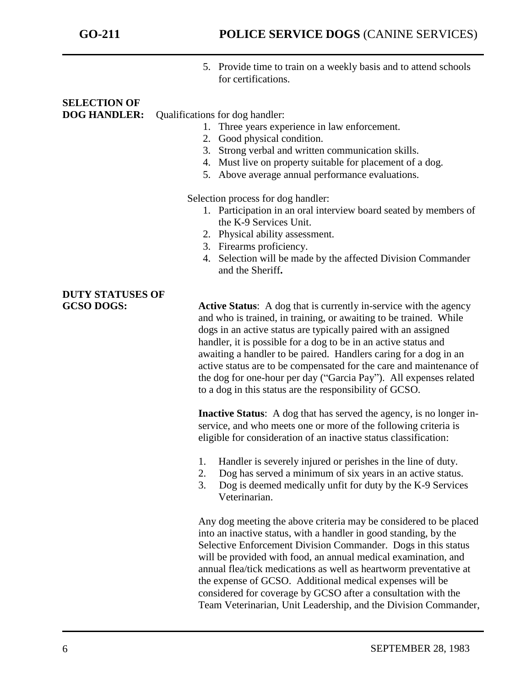5. Provide time to train on a weekly basis and to attend schools for certifications.

# **SELECTION OF**

**DOG HANDLER:** Qualifications for dog handler:

- 1. Three years experience in law enforcement.
- 2. Good physical condition.
- 3. Strong verbal and written communication skills.
- 4. Must live on property suitable for placement of a dog.
- 5. Above average annual performance evaluations.

Selection process for dog handler:

- 1. Participation in an oral interview board seated by members of the K-9 Services Unit.
- 2. Physical ability assessment.
- 3. Firearms proficiency.
- 4. Selection will be made by the affected Division Commander and the Sheriff**.**

**DUTY STATUSES OF** 

**GCSO DOGS: Active Status**: A dog that is currently in-service with the agency and who is trained, in training, or awaiting to be trained. While dogs in an active status are typically paired with an assigned handler, it is possible for a dog to be in an active status and awaiting a handler to be paired. Handlers caring for a dog in an active status are to be compensated for the care and maintenance of the dog for one-hour per day ("Garcia Pay"). All expenses related to a dog in this status are the responsibility of GCSO.

> **Inactive Status**: A dog that has served the agency, is no longer inservice, and who meets one or more of the following criteria is eligible for consideration of an inactive status classification:

- 1. Handler is severely injured or perishes in the line of duty.
- 2. Dog has served a minimum of six years in an active status.
- 3. Dog is deemed medically unfit for duty by the K-9 Services Veterinarian.

Any dog meeting the above criteria may be considered to be placed into an inactive status, with a handler in good standing, by the Selective Enforcement Division Commander. Dogs in this status will be provided with food, an annual medical examination, and annual flea/tick medications as well as heartworm preventative at the expense of GCSO. Additional medical expenses will be considered for coverage by GCSO after a consultation with the Team Veterinarian, Unit Leadership, and the Division Commander,